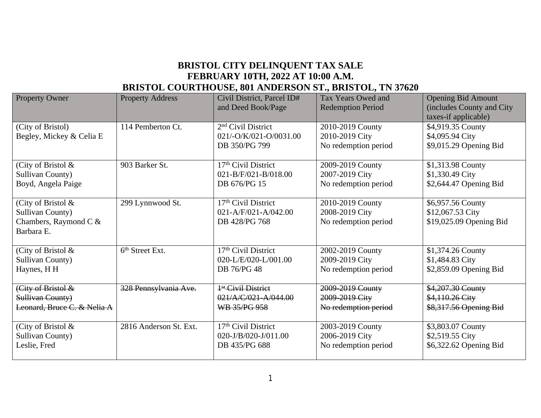## **BRISTOL CITY DELINQUENT TAX SALE FEBRUARY 10TH, 2022 AT 10:00 A.M. BRISTOL COURTHOUSE, 801 ANDERSON ST., BRISTOL, TN 37620**

| <b>Property Owner</b>                                                                      | <b>Property Address</b>     | Civil District, Parcel ID#<br>and Deed Book/Page                          | Tax Years Owed and<br><b>Redemption Period</b>             | <b>Opening Bid Amount</b><br>(includes County and City<br>taxes-if applicable) |
|--------------------------------------------------------------------------------------------|-----------------------------|---------------------------------------------------------------------------|------------------------------------------------------------|--------------------------------------------------------------------------------|
| (City of Bristol)<br>Begley, Mickey & Celia E                                              | 114 Pemberton Ct.           | 2 <sup>nd</sup> Civil District<br>021/-O/K/021-O/0031.00<br>DB 350/PG 799 | 2010-2019 County<br>2010-2019 City<br>No redemption period | \$4,919.35 County<br>\$4,095.94 City<br>\$9,015.29 Opening Bid                 |
| (City of Bristol &                                                                         | 903 Barker St.              | 17 <sup>th</sup> Civil District                                           | 2009-2019 County                                           | \$1,313.98 County                                                              |
| <b>Sullivan County)</b>                                                                    |                             | $021 - B/F/021 - B/018.00$                                                | 2007-2019 City                                             | \$1,330.49 City                                                                |
| Boyd, Angela Paige                                                                         |                             | DB 676/PG 15                                                              | No redemption period                                       | \$2,644.47 Opening Bid                                                         |
| (City of Bristol $\&$<br><b>Sullivan County)</b><br>Chambers, Raymond C $\&$<br>Barbara E. | 299 Lynnwood St.            | 17th Civil District<br>021-A/F/021-A/042.00<br>DB 428/PG 768              | 2010-2019 County<br>2008-2019 City<br>No redemption period | \$6,957.56 County<br>\$12,067.53 City<br>\$19,025.09 Opening Bid               |
| (City of Bristol $\&$                                                                      | 6 <sup>th</sup> Street Ext. | 17 <sup>th</sup> Civil District                                           | 2002-2019 County                                           | \$1,374.26 County                                                              |
| <b>Sullivan County)</b>                                                                    |                             | $020 - L/E/020 - L/001.00$                                                | 2009-2019 City                                             | \$1,484.83 City                                                                |
| Haynes, H H                                                                                |                             | DB 76/PG 48                                                               | No redemption period                                       | \$2,859.09 Opening Bid                                                         |
| (City of Bristol &                                                                         | 328 Pennsylvania Ave.       | <sup>4st</sup> Civil District                                             | 2009-2019 County                                           | \$4,207.30 County                                                              |
| Sullivan County)                                                                           |                             | 021/A/C/021-A/044.00                                                      | 2009-2019 City                                             | \$4,110.26 City                                                                |
| Leonard, Bruce C. & Nelia A                                                                |                             | WB 35/PG 958                                                              | No redemption period                                       | \$8,317.56 Opening Bid                                                         |
| (City of Bristol &                                                                         | 2816 Anderson St. Ext.      | 17 <sup>th</sup> Civil District                                           | 2003-2019 County                                           | \$3,803.07 County                                                              |
| <b>Sullivan County)</b>                                                                    |                             | 020-J/B/020-J/011.00                                                      | 2006-2019 City                                             | \$2,519.55 City                                                                |
| Leslie, Fred                                                                               |                             | DB 435/PG 688                                                             | No redemption period                                       | \$6,322.62 Opening Bid                                                         |